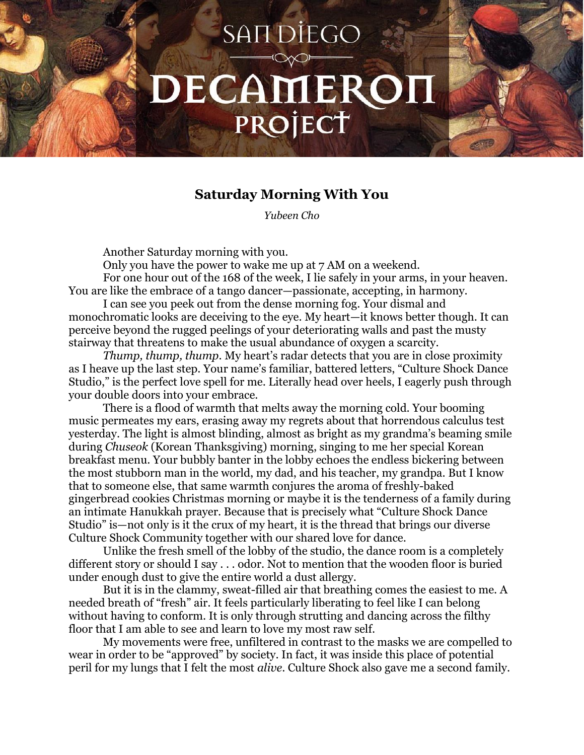## **SANDIEGO** DECAMEROH PROJECT

## **Saturday Morning With You**

*Yubeen Cho* 

Another Saturday morning with you.

Only you have the power to wake me up at 7 AM on a weekend. For one hour out of the 168 of the week, I lie safely in your arms, in your heaven. You are like the embrace of a tango dancer—passionate, accepting, in harmony.

I can see you peek out from the dense morning fog. Your dismal and monochromatic looks are deceiving to the eye. My heart—it knows better though. It can perceive beyond the rugged peelings of your deteriorating walls and past the musty stairway that threatens to make the usual abundance of oxygen a scarcity.

*Thump, thump, thump*. My heart's radar detects that you are in close proximity as I heave up the last step. Your name's familiar, battered letters, "Culture Shock Dance Studio," is the perfect love spell for me. Literally head over heels, I eagerly push through your double doors into your embrace.

There is a flood of warmth that melts away the morning cold. Your booming music permeates my ears, erasing away my regrets about that horrendous calculus test yesterday. The light is almost blinding, almost as bright as my grandma's beaming smile during *Chuseok* (Korean Thanksgiving) morning, singing to me her special Korean breakfast menu. Your bubbly banter in the lobby echoes the endless bickering between the most stubborn man in the world, my dad, and his teacher, my grandpa. But I know that to someone else, that same warmth conjures the aroma of freshly-baked gingerbread cookies Christmas morning or maybe it is the tenderness of a family during an intimate Hanukkah prayer. Because that is precisely what "Culture Shock Dance Studio" is—not only is it the crux of my heart, it is the thread that brings our diverse Culture Shock Community together with our shared love for dance.

Unlike the fresh smell of the lobby of the studio, the dance room is a completely different story or should I say . . . odor. Not to mention that the wooden floor is buried under enough dust to give the entire world a dust allergy.

But it is in the clammy, sweat-filled air that breathing comes the easiest to me. A needed breath of "fresh" air*.* It feels particularly liberating to feel like I can belong without having to conform. It is only through strutting and dancing across the filthy floor that I am able to see and learn to love my most raw self.

My movements were free, unfiltered in contrast to the masks we are compelled to wear in order to be "approved" by society. In fact, it was inside this place of potential peril for my lungs that I felt the most *alive*. Culture Shock also gave me a second family.